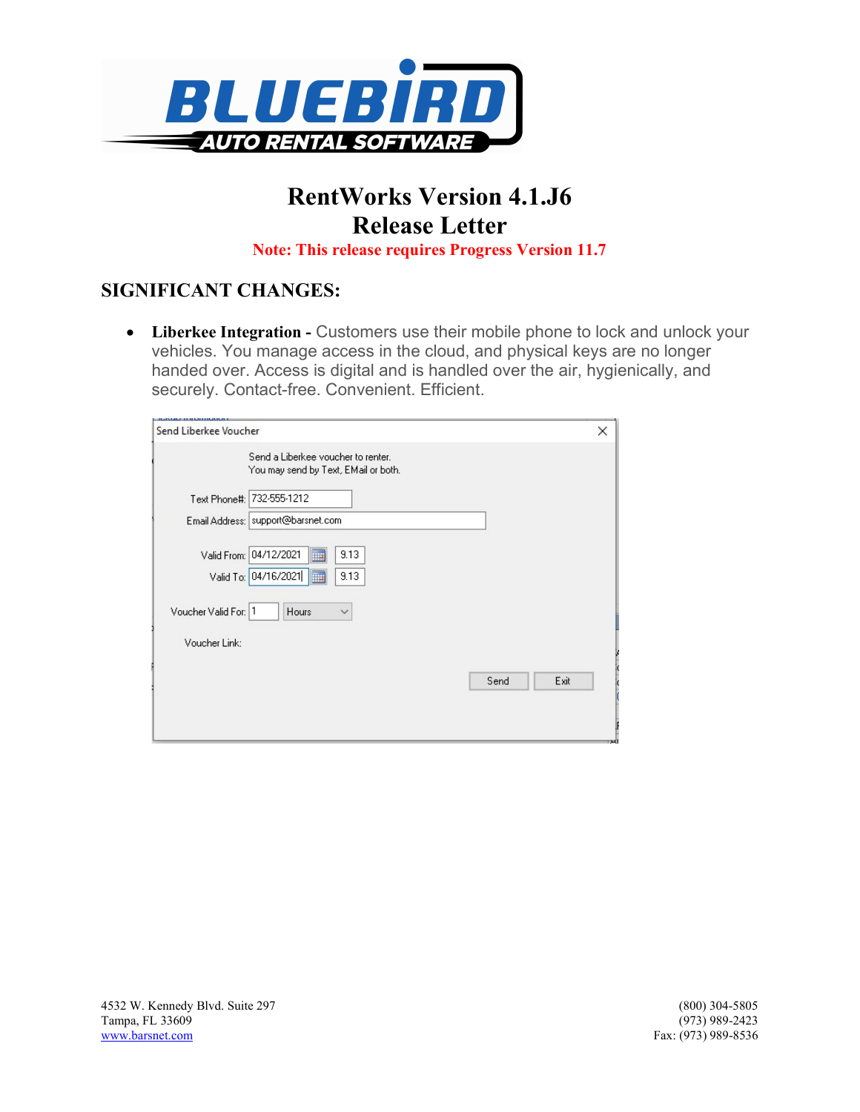

# RentWorks Version 4.1.J6 Release Letter

Note: This release requires Progress Version 11.7

## SIGNIFICANT CHANGES:

• Liberkee Integration - Customers use their mobile phone to lock and unlock your vehicles. You manage access in the cloud, and physical keys are no longer handed over. Access is digital and is handled over the air, hygienically, and securely. Contact-free. Convenient. Efficient.

| Send Liberkee Voucher |                                                                            | × |
|-----------------------|----------------------------------------------------------------------------|---|
|                       | Send a Liberkee voucher to renter.<br>You may send by Text, EMail or both. |   |
|                       | Text Phone#: 732-555-1212                                                  |   |
|                       | Email Address:   support@barsnet.com                                       |   |
|                       | E<br>Valid From: 04/12/2021<br>9.13                                        |   |
|                       | E<br>Valid To: 04/16/2021<br>9.13                                          |   |
| Voucher Valid For: 1  | Hours<br>$\checkmark$                                                      |   |
| Voucher Link:         |                                                                            |   |
|                       | Exit<br>Send                                                               |   |
|                       |                                                                            |   |
|                       |                                                                            |   |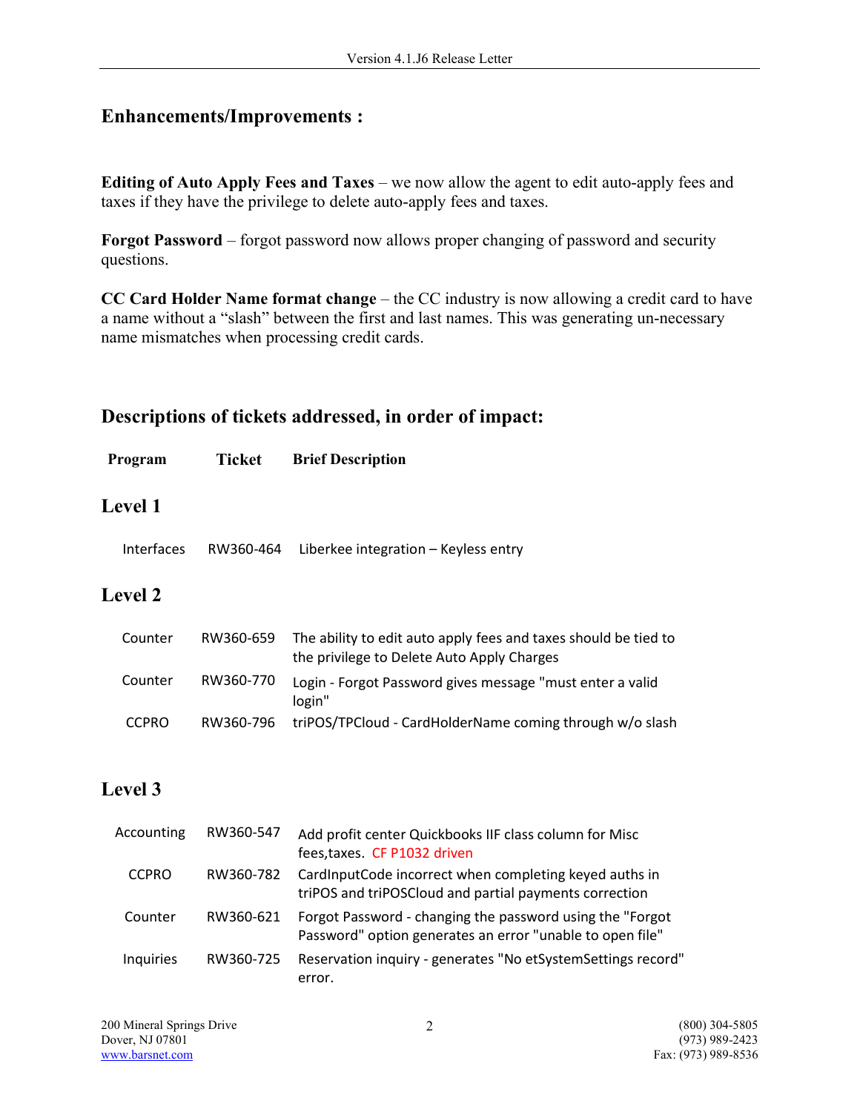## Enhancements/Improvements :

Editing of Auto Apply Fees and Taxes – we now allow the agent to edit auto-apply fees and taxes if they have the privilege to delete auto-apply fees and taxes.

Forgot Password – forgot password now allows proper changing of password and security questions.

CC Card Holder Name format change – the CC industry is now allowing a credit card to have a name without a "slash" between the first and last names. This was generating un-necessary name mismatches when processing credit cards.

#### Descriptions of tickets addressed, in order of impact:

| Program           | Ticket    | <b>Brief Description</b>                                                                                      |
|-------------------|-----------|---------------------------------------------------------------------------------------------------------------|
| <b>Level 1</b>    |           |                                                                                                               |
| <b>Interfaces</b> | RW360-464 | Liberkee integration - Keyless entry                                                                          |
| <b>Level 2</b>    |           |                                                                                                               |
| Counter           | RW360-659 | The ability to edit auto apply fees and taxes should be tied to<br>the privilege to Delete Auto Apply Charges |

| Counter      | RW360-770 | Login - Forgot Password gives message "must enter a valid<br>login" |
|--------------|-----------|---------------------------------------------------------------------|
| <b>CCPRO</b> |           | RW360-796 triPOS/TPCloud - CardHolderName coming through w/o slash  |

#### Level 3

| Accounting   | RW360-547 | Add profit center Quickbooks IIF class column for Misc<br>fees, taxes. CF P1032 driven                                  |
|--------------|-----------|-------------------------------------------------------------------------------------------------------------------------|
| <b>CCPRO</b> | RW360-782 | CardInputCode incorrect when completing keyed auths in<br>triPOS and triPOSCloud and partial payments correction        |
| Counter      | RW360-621 | Forgot Password - changing the password using the "Forgot"<br>Password" option generates an error "unable to open file" |
| Inquiries    | RW360-725 | Reservation inquiry - generates "No etSystemSettings record"<br>error.                                                  |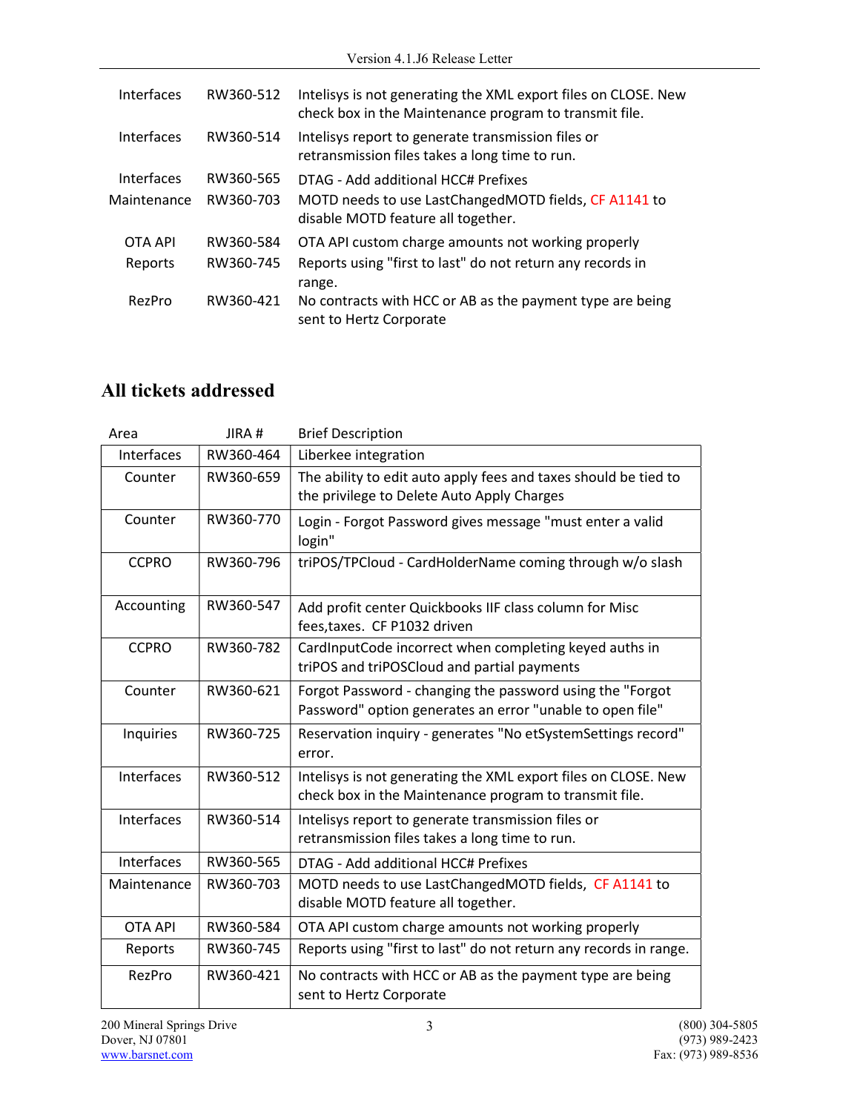| Interfaces  | RW360-512 | Intelisys is not generating the XML export files on CLOSE. New<br>check box in the Maintenance program to transmit file. |
|-------------|-----------|--------------------------------------------------------------------------------------------------------------------------|
| Interfaces  | RW360-514 | Intelisys report to generate transmission files or<br>retransmission files takes a long time to run.                     |
| Interfaces  | RW360-565 | DTAG - Add additional HCC# Prefixes                                                                                      |
| Maintenance | RW360-703 | MOTD needs to use LastChangedMOTD fields, CF A1141 to<br>disable MOTD feature all together.                              |
| OTA API     | RW360-584 | OTA API custom charge amounts not working properly                                                                       |
| Reports     | RW360-745 | Reports using "first to last" do not return any records in<br>range.                                                     |
| RezPro      | RW360-421 | No contracts with HCC or AB as the payment type are being<br>sent to Hertz Corporate                                     |

# All tickets addressed

| Area           | JIRA#     | <b>Brief Description</b>                                                                                                 |
|----------------|-----------|--------------------------------------------------------------------------------------------------------------------------|
| Interfaces     | RW360-464 | Liberkee integration                                                                                                     |
| Counter        | RW360-659 | The ability to edit auto apply fees and taxes should be tied to<br>the privilege to Delete Auto Apply Charges            |
| Counter        | RW360-770 | Login - Forgot Password gives message "must enter a valid<br>login"                                                      |
| <b>CCPRO</b>   | RW360-796 | triPOS/TPCloud - CardHolderName coming through w/o slash                                                                 |
| Accounting     | RW360-547 | Add profit center Quickbooks IIF class column for Misc<br>fees, taxes. CF P1032 driven                                   |
| <b>CCPRO</b>   | RW360-782 | CardInputCode incorrect when completing keyed auths in<br>triPOS and triPOSCloud and partial payments                    |
| Counter        | RW360-621 | Forgot Password - changing the password using the "Forgot<br>Password" option generates an error "unable to open file"   |
| Inquiries      | RW360-725 | Reservation inquiry - generates "No etSystemSettings record"<br>error.                                                   |
| Interfaces     | RW360-512 | Intelisys is not generating the XML export files on CLOSE. New<br>check box in the Maintenance program to transmit file. |
| Interfaces     | RW360-514 | Intelisys report to generate transmission files or<br>retransmission files takes a long time to run.                     |
| Interfaces     | RW360-565 | DTAG - Add additional HCC# Prefixes                                                                                      |
| Maintenance    | RW360-703 | MOTD needs to use LastChangedMOTD fields, CF A1141 to<br>disable MOTD feature all together.                              |
| <b>OTA API</b> | RW360-584 | OTA API custom charge amounts not working properly                                                                       |
| Reports        | RW360-745 | Reports using "first to last" do not return any records in range.                                                        |
| RezPro         | RW360-421 | No contracts with HCC or AB as the payment type are being<br>sent to Hertz Corporate                                     |